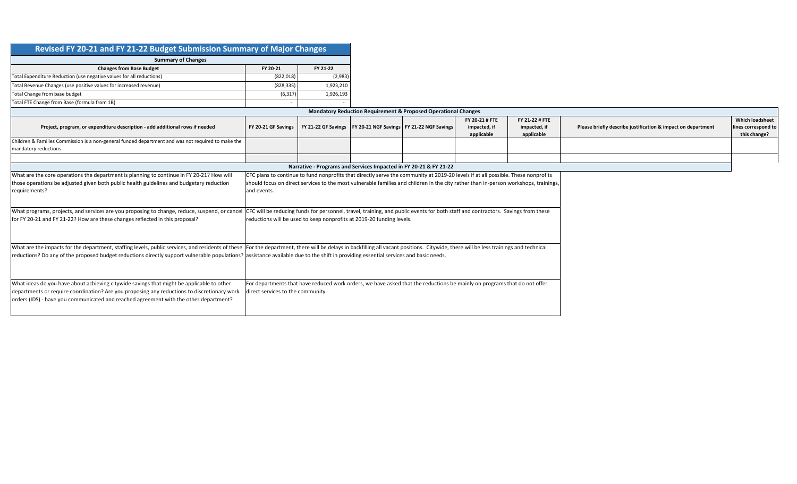| Revised FY 20-21 and FY 21-22 Budget Submission Summary of Major Changes                                                                                                                                                                                                                                                                                                                                               |                                                                                                                                                                                                                                                                                          |           |                                                                   |                                                                                                                          |                                              |                                              |                                                              |                                                               |  |  |  |  |  |  |
|------------------------------------------------------------------------------------------------------------------------------------------------------------------------------------------------------------------------------------------------------------------------------------------------------------------------------------------------------------------------------------------------------------------------|------------------------------------------------------------------------------------------------------------------------------------------------------------------------------------------------------------------------------------------------------------------------------------------|-----------|-------------------------------------------------------------------|--------------------------------------------------------------------------------------------------------------------------|----------------------------------------------|----------------------------------------------|--------------------------------------------------------------|---------------------------------------------------------------|--|--|--|--|--|--|
| <b>Summary of Changes</b>                                                                                                                                                                                                                                                                                                                                                                                              |                                                                                                                                                                                                                                                                                          |           |                                                                   |                                                                                                                          |                                              |                                              |                                                              |                                                               |  |  |  |  |  |  |
| <b>Changes from Base Budget</b>                                                                                                                                                                                                                                                                                                                                                                                        | FY 20-21                                                                                                                                                                                                                                                                                 | FY 21-22  |                                                                   |                                                                                                                          |                                              |                                              |                                                              |                                                               |  |  |  |  |  |  |
| Total Expenditure Reduction (use negative values for all reductions)                                                                                                                                                                                                                                                                                                                                                   | (822, 018)                                                                                                                                                                                                                                                                               | (2,983)   |                                                                   |                                                                                                                          |                                              |                                              |                                                              |                                                               |  |  |  |  |  |  |
| Total Revenue Changes (use positive values for increased revenue)                                                                                                                                                                                                                                                                                                                                                      | (828, 335)                                                                                                                                                                                                                                                                               | 1,923,210 |                                                                   |                                                                                                                          |                                              |                                              |                                                              |                                                               |  |  |  |  |  |  |
| Total Change from base budget                                                                                                                                                                                                                                                                                                                                                                                          | (6, 317)                                                                                                                                                                                                                                                                                 | 1,926,193 |                                                                   |                                                                                                                          |                                              |                                              |                                                              |                                                               |  |  |  |  |  |  |
| Total FTE Change from Base (formula from 1B)                                                                                                                                                                                                                                                                                                                                                                           |                                                                                                                                                                                                                                                                                          |           |                                                                   |                                                                                                                          |                                              |                                              |                                                              |                                                               |  |  |  |  |  |  |
|                                                                                                                                                                                                                                                                                                                                                                                                                        |                                                                                                                                                                                                                                                                                          |           |                                                                   | <b>Mandatory Reduction Requirement &amp; Proposed Operational Changes</b>                                                |                                              |                                              |                                                              |                                                               |  |  |  |  |  |  |
| Project, program, or expenditure description - add additional rows if needed                                                                                                                                                                                                                                                                                                                                           | FY 20-21 GF Savings                                                                                                                                                                                                                                                                      |           | FY 21-22 GF Savings   FY 20-21 NGF Savings   FY 21-22 NGF Savings |                                                                                                                          | FY 20-21 # FTE<br>impacted, if<br>applicable | FY 21-22 # FTE<br>impacted, if<br>applicable | Please briefly describe justification & impact on department | <b>Which loadsheet</b><br>lines correspond to<br>this change? |  |  |  |  |  |  |
| Children & Families Commission is a non-general funded department and was not required to make the<br>mandatory reductions.                                                                                                                                                                                                                                                                                            |                                                                                                                                                                                                                                                                                          |           |                                                                   |                                                                                                                          |                                              |                                              |                                                              |                                                               |  |  |  |  |  |  |
|                                                                                                                                                                                                                                                                                                                                                                                                                        |                                                                                                                                                                                                                                                                                          |           |                                                                   |                                                                                                                          |                                              |                                              |                                                              |                                                               |  |  |  |  |  |  |
| What are the core operations the department is planning to continue in FY 20-21? How will                                                                                                                                                                                                                                                                                                                              |                                                                                                                                                                                                                                                                                          |           |                                                                   |                                                                                                                          |                                              |                                              |                                                              |                                                               |  |  |  |  |  |  |
| those operations be adjusted given both public health guidelines and budgetary reduction<br>requirements?                                                                                                                                                                                                                                                                                                              | CFC plans to continue to fund nonprofits that directly serve the community at 2019-20 levels if at all possible. These nonprofits<br>should focus on direct services to the most vulnerable families and children in the city rather than in-person workshops, trainings,<br>and events. |           |                                                                   |                                                                                                                          |                                              |                                              |                                                              |                                                               |  |  |  |  |  |  |
| What programs, projects, and services are you proposing to change, reduce, suspend, or cancel CFC will be reducing funds for personnel, travel, training, and public events for both staff and contractors. Savings from these<br>for FY 20-21 and FY 21-22? How are these changes reflected in this proposal?                                                                                                         |                                                                                                                                                                                                                                                                                          |           |                                                                   |                                                                                                                          |                                              |                                              |                                                              |                                                               |  |  |  |  |  |  |
| What are the impacts for the department, staffing levels, public services, and residents of these  For the department, there will be delays in backfilling all vacant positions. Citywide, there will be less trainings and te<br>reductions? Do any of the proposed budget reductions directly support vulnerable populations? assistance available due to the shift in providing essential services and basic needs. |                                                                                                                                                                                                                                                                                          |           |                                                                   |                                                                                                                          |                                              |                                              |                                                              |                                                               |  |  |  |  |  |  |
| What ideas do you have about achieving citywide savings that might be applicable to other<br>departments or require coordination? Are you proposing any reductions to discretionary work<br>orders (IDS) - have you communicated and reached agreement with the other department?                                                                                                                                      | direct services to the community.                                                                                                                                                                                                                                                        |           |                                                                   | For departments that have reduced work orders, we have asked that the reductions be mainly on programs that do not offer |                                              |                                              |                                                              |                                                               |  |  |  |  |  |  |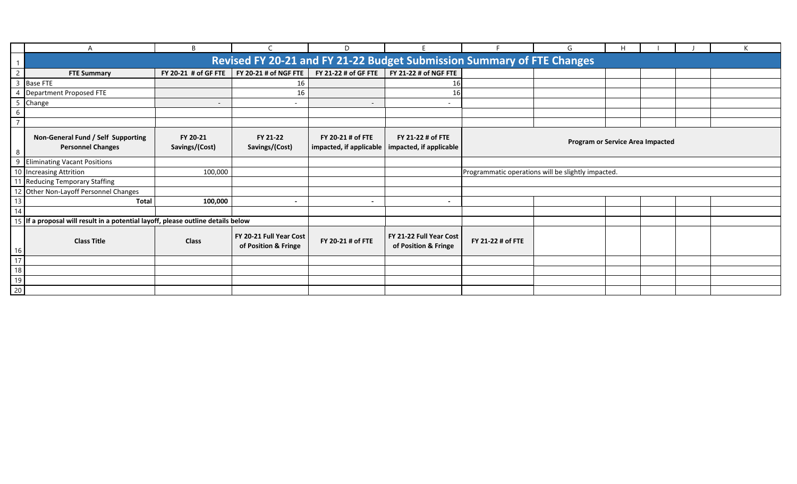|                |                                                                                    | B                          |                                                 | D                                            |                                                                        |                                                    | G                                       | H |  |  |  |  |  |  |  |  |  |  |
|----------------|------------------------------------------------------------------------------------|----------------------------|-------------------------------------------------|----------------------------------------------|------------------------------------------------------------------------|----------------------------------------------------|-----------------------------------------|---|--|--|--|--|--|--|--|--|--|--|
|                |                                                                                    |                            |                                                 |                                              | Revised FY 20-21 and FY 21-22 Budget Submission Summary of FTE Changes |                                                    |                                         |   |  |  |  |  |  |  |  |  |  |  |
|                | <b>FTE Summary</b>                                                                 |                            | FY 20-21 # of GF FTE   FY 20-21 # of NGF FTE    | FY 21-22 # of GF FTE                         |                                                                        |                                                    |                                         |   |  |  |  |  |  |  |  |  |  |  |
| $\mathbf{3}$   | <b>Base FTE</b>                                                                    |                            | 16                                              |                                              | 16                                                                     |                                                    |                                         |   |  |  |  |  |  |  |  |  |  |  |
|                | 4 Department Proposed FTE                                                          |                            | 16                                              |                                              | 16                                                                     |                                                    |                                         |   |  |  |  |  |  |  |  |  |  |  |
|                | 5 Change                                                                           | $\overline{\phantom{a}}$   | $\overline{\phantom{0}}$                        | $\overline{\phantom{a}}$                     | $\overline{\phantom{a}}$                                               |                                                    |                                         |   |  |  |  |  |  |  |  |  |  |  |
|                |                                                                                    |                            |                                                 |                                              |                                                                        |                                                    |                                         |   |  |  |  |  |  |  |  |  |  |  |
| $\overline{ }$ |                                                                                    |                            |                                                 |                                              |                                                                        |                                                    |                                         |   |  |  |  |  |  |  |  |  |  |  |
|                | Non-General Fund / Self Supporting<br><b>Personnel Changes</b>                     | FY 20-21<br>Savings/(Cost) | FY 21-22<br>Savings/(Cost)                      | FY 20-21 # of FTE<br>impacted, if applicable | FY 21-22 # of FTE<br>impacted, if applicable                           |                                                    | <b>Program or Service Area Impacted</b> |   |  |  |  |  |  |  |  |  |  |  |
| 9              | <b>Eliminating Vacant Positions</b>                                                |                            |                                                 |                                              |                                                                        |                                                    |                                         |   |  |  |  |  |  |  |  |  |  |  |
|                | 10 Increasing Attrition                                                            | 100,000                    |                                                 |                                              |                                                                        | Programmatic operations will be slightly impacted. |                                         |   |  |  |  |  |  |  |  |  |  |  |
| 11             | <b>Reducing Temporary Staffing</b>                                                 |                            |                                                 |                                              |                                                                        |                                                    |                                         |   |  |  |  |  |  |  |  |  |  |  |
|                | 12 Other Non-Layoff Personnel Changes                                              |                            |                                                 |                                              |                                                                        |                                                    |                                         |   |  |  |  |  |  |  |  |  |  |  |
| 13             | <b>Total</b>                                                                       | 100,000                    | $\overline{\phantom{0}}$                        | $\overline{\phantom{0}}$                     | $\overline{\phantom{a}}$                                               |                                                    |                                         |   |  |  |  |  |  |  |  |  |  |  |
| 14             |                                                                                    |                            |                                                 |                                              |                                                                        |                                                    |                                         |   |  |  |  |  |  |  |  |  |  |  |
|                | 15   If a proposal will result in a potential layoff, please outline details below |                            |                                                 |                                              |                                                                        |                                                    |                                         |   |  |  |  |  |  |  |  |  |  |  |
| 16             | <b>Class Title</b>                                                                 | <b>Class</b>               | FY 20-21 Full Year Cost<br>of Position & Fringe | FY 20-21 # of FTE                            | FY 21-22 Full Year Cost<br>of Position & Fringe                        | FY 21-22 # of FTE                                  |                                         |   |  |  |  |  |  |  |  |  |  |  |
| 17             |                                                                                    |                            |                                                 |                                              |                                                                        |                                                    |                                         |   |  |  |  |  |  |  |  |  |  |  |
| 18             |                                                                                    |                            |                                                 |                                              |                                                                        |                                                    |                                         |   |  |  |  |  |  |  |  |  |  |  |
| 19             |                                                                                    |                            |                                                 |                                              |                                                                        |                                                    |                                         |   |  |  |  |  |  |  |  |  |  |  |
| 20             |                                                                                    |                            |                                                 |                                              |                                                                        |                                                    |                                         |   |  |  |  |  |  |  |  |  |  |  |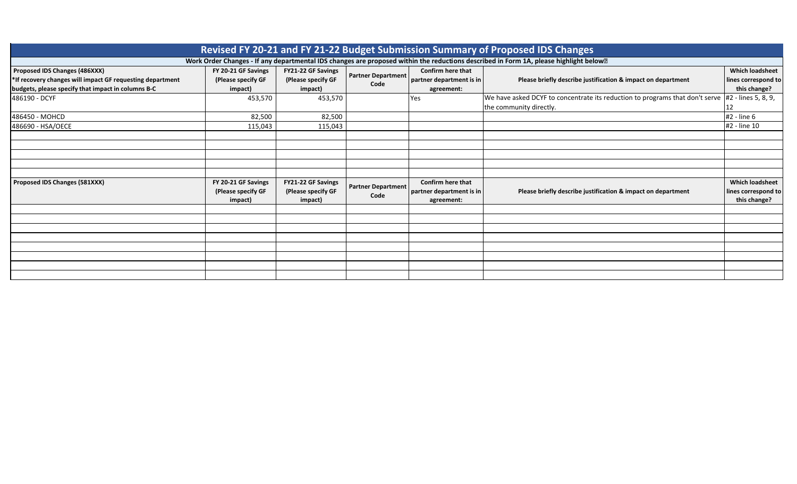| Revised FY 20-21 and FY 21-22 Budget Submission Summary of Proposed IDS Changes                                                                  |                                                      |                                                     |                                   |                                                             |                                                                                                                                                     |                                                               |  |  |  |  |  |  |  |  |
|--------------------------------------------------------------------------------------------------------------------------------------------------|------------------------------------------------------|-----------------------------------------------------|-----------------------------------|-------------------------------------------------------------|-----------------------------------------------------------------------------------------------------------------------------------------------------|---------------------------------------------------------------|--|--|--|--|--|--|--|--|
|                                                                                                                                                  |                                                      |                                                     |                                   |                                                             | Work Order Changes - If any departmental IDS changes are proposed within the reductions described in Form 1A, please highlight below <sup>[2]</sup> |                                                               |  |  |  |  |  |  |  |  |
| Proposed IDS Changes (486XXX)<br>*If recovery changes will impact GF requesting department<br>budgets, please specify that impact in columns B-C | FY 20-21 GF Savings<br>(Please specify GF<br>impact) | FY21-22 GF Savings<br>(Please specify GF<br>impact) | <b>Partner Department</b><br>Code | Confirm here that<br>partner department is in<br>agreement: | Please briefly describe justification & impact on department                                                                                        | <b>Which loadsheet</b><br>lines correspond to<br>this change? |  |  |  |  |  |  |  |  |
| 486190 - DCYF                                                                                                                                    | 453,570                                              | 453,570                                             |                                   | Yes                                                         | We have asked DCYF to concentrate its reduction to programs that don't serve $\#2$ - lines 5, 8, 9,<br>the community directly.                      | 12                                                            |  |  |  |  |  |  |  |  |
| 486450 - MOHCD                                                                                                                                   | 82,500                                               | 82,500                                              |                                   |                                                             |                                                                                                                                                     | #2 - line 6                                                   |  |  |  |  |  |  |  |  |
| 486690 - HSA/OECE                                                                                                                                | 115,043                                              | 115,043                                             |                                   |                                                             |                                                                                                                                                     | #2 - line 10                                                  |  |  |  |  |  |  |  |  |
|                                                                                                                                                  |                                                      |                                                     |                                   |                                                             |                                                                                                                                                     |                                                               |  |  |  |  |  |  |  |  |
|                                                                                                                                                  |                                                      |                                                     |                                   |                                                             |                                                                                                                                                     |                                                               |  |  |  |  |  |  |  |  |
|                                                                                                                                                  |                                                      |                                                     |                                   |                                                             |                                                                                                                                                     |                                                               |  |  |  |  |  |  |  |  |
| Proposed IDS Changes (581XXX)                                                                                                                    | FY 20-21 GF Savings<br>(Please specify GF<br>impact) | FY21-22 GF Savings<br>(Please specify GF<br>impact) | <b>Partner Department</b><br>Code | Confirm here that<br>partner department is in<br>agreement: | Please briefly describe justification & impact on department                                                                                        | <b>Which loadsheet</b><br>lines correspond to<br>this change? |  |  |  |  |  |  |  |  |
|                                                                                                                                                  |                                                      |                                                     |                                   |                                                             |                                                                                                                                                     |                                                               |  |  |  |  |  |  |  |  |
|                                                                                                                                                  |                                                      |                                                     |                                   |                                                             |                                                                                                                                                     |                                                               |  |  |  |  |  |  |  |  |
|                                                                                                                                                  |                                                      |                                                     |                                   |                                                             |                                                                                                                                                     |                                                               |  |  |  |  |  |  |  |  |
|                                                                                                                                                  |                                                      |                                                     |                                   |                                                             |                                                                                                                                                     |                                                               |  |  |  |  |  |  |  |  |
|                                                                                                                                                  |                                                      |                                                     |                                   |                                                             |                                                                                                                                                     |                                                               |  |  |  |  |  |  |  |  |
|                                                                                                                                                  |                                                      |                                                     |                                   |                                                             |                                                                                                                                                     |                                                               |  |  |  |  |  |  |  |  |
|                                                                                                                                                  |                                                      |                                                     |                                   |                                                             |                                                                                                                                                     |                                                               |  |  |  |  |  |  |  |  |
|                                                                                                                                                  |                                                      |                                                     |                                   |                                                             |                                                                                                                                                     |                                                               |  |  |  |  |  |  |  |  |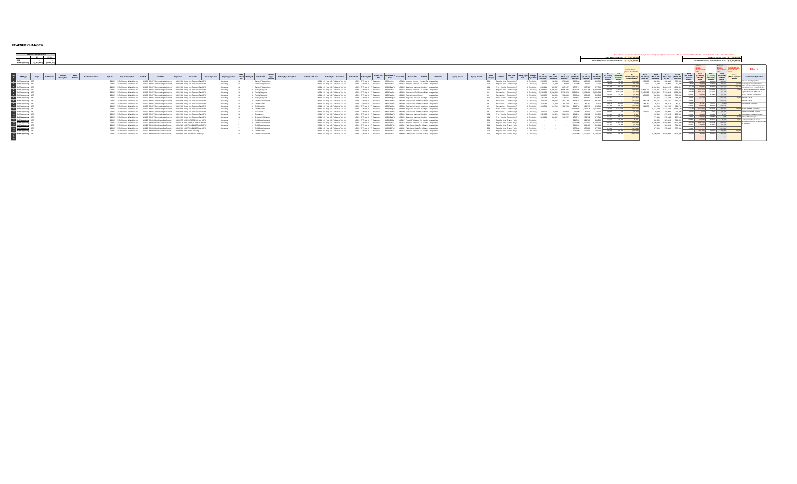| <b>REVENUE CHANGES</b> |  |
|------------------------|--|
|                        |  |

|                                        | Revenue Savings/(Cost)<br><b>BY BY+1</b><br>Self Supporting (3,964,386) (3,294,93 |  |                                 |                     |         |                                                                      |         |                                                                                                                                            |            |                                    |                   |                        |  |                                                           |                                  |                      | Total BY Revenue Variance from Base: \$ 4,425,748.                       | Total BY System Entry: \$ (3,964,386.) |                               |                        | Note: This sheet assumes that all bens in the system are currently on-oping bens, so an increase in BY will automatically roll through to BY +1 unless adjusted in the BY +1 "Should be" column<br>Total BY+1 System Entry: \$ 669,454.<br>Total BY+1 Revenue Variance from Base: \$ 6,219,293.0 |                                                                                                 |                       |               |                         |              |                                                   |                           |                       |                    |                                                                                                                                                    |                                                         |                        |                   |                                                                                                                 |                               |                                      |                                         |                                                                   |                                                     |                                                                        |
|----------------------------------------|-----------------------------------------------------------------------------------|--|---------------------------------|---------------------|---------|----------------------------------------------------------------------|---------|--------------------------------------------------------------------------------------------------------------------------------------------|------------|------------------------------------|-------------------|------------------------|--|-----------------------------------------------------------|----------------------------------|----------------------|--------------------------------------------------------------------------|----------------------------------------|-------------------------------|------------------------|--------------------------------------------------------------------------------------------------------------------------------------------------------------------------------------------------------------------------------------------------------------------------------------------------|-------------------------------------------------------------------------------------------------|-----------------------|---------------|-------------------------|--------------|---------------------------------------------------|---------------------------|-----------------------|--------------------|----------------------------------------------------------------------------------------------------------------------------------------------------|---------------------------------------------------------|------------------------|-------------------|-----------------------------------------------------------------------------------------------------------------|-------------------------------|--------------------------------------|-----------------------------------------|-------------------------------------------------------------------|-----------------------------------------------------|------------------------------------------------------------------------|
|                                        |                                                                                   |  |                                 |                     |         |                                                                      |         |                                                                                                                                            |            |                                    |                   |                        |  |                                                           |                                  |                      |                                                                          |                                        |                               |                        |                                                                                                                                                                                                                                                                                                  |                                                                                                 |                       |               |                         |              |                                                   |                           |                       |                    |                                                                                                                                                    |                                                         |                        |                   |                                                                                                                 |                               |                                      | ease do not                             |                                                                   | driven -- formula driv<br>tion do not allege do not | <b>FULLIN</b>                                                          |
| GFS Type                               | Dept Division                                                                     |  | Division<br>Description Section | Section Description | Dept ID | <b>Dept ID Description</b>                                           | Fund ID | Fund Title                                                                                                                                 | Project ID | <b>Project Title</b>               | Project Type Code | Project Type Name      |  | Related Activity ID Activity Title Type<br><b>Marshar</b> | <b>Activity Type Description</b> | Authority Lvl 1 Code | Authority Lvl 1 Description                                              | Authority ID                           | <b>Authority Title -</b>      | Account Lv1 2<br>Title |                                                                                                                                                                                                                                                                                                  | Account Title<br>Account ID                                                                     | TRIO Title<br>TRIO ID | Agency Use ID | <b>Agency Use Title</b> | <b>MOTIF</b> | <b>MO Loved</b><br>Title                          |                           | CY <sub>1</sub><br>8Y |                    | $-8$<br>Change (FY19-20) (FY20-21) (FY20-21) (FY20-21) (FY20-21) (FY20-21)<br>Current CrigAmt Baco Ant Dept Ant Myr Ant Tech Ant Current Should Be | $(6Y 20 - 21)$                                          | $( FY 20-21)$          | (FY 20-21) Change | $EY+1$<br>The area in<br>(FY21-22) (FY21-22) (FY21-22) (FY21-22)<br><b>Base Ant Dect Ant Myr Ant Tech Ant I</b> | $EY+1$                        | FY 21-22)<br>Current<br>Acrossot     | After BY                                | RY-1 RY-1<br>(FY 21-22) (FY 21-22) (FY 21-22)<br>Should Be CHANGE | $RV + 1$<br>(FY 21-22) Entr<br>Needed               | <b>Justification/Explanation</b>                                       |
| Self Supporting CFC                    |                                                                                   |  |                                 |                     |         | 229047 CFC Children & Families C                                     |         | 11000 SR CFC ContinuingAuthority 10022906 Prop 30 - Tobacco Tax OPR                                                                        |            |                                    |                   | Operating              |  | 1 General/Operations                                      |                                  |                      | 16921 CF Prop 10 - Tobacco Tax Fun                                       |                                        | 16921 CF Prop 10 - T: Revenue |                        | 43000mblevy                                                                                                                                                                                                                                                                                      | 430150 Interest Earned - Pooled Car Unspecified                                                 |                       |               |                         |              | Regular Reys Continuing                           | 4 On-Going                | 250,000<br>250,000    | 250,000<br>300,000 | 300,000                                                                                                                                            | ann non 1                                               |                        |                   | 250,000                                                                                                         | 300,000 300,000               | ang gog L                            |                                         |                                                                   |                                                     | duced interest projection                                              |
| Self Supporting                        |                                                                                   |  |                                 |                     |         | 229047 CFC Children & Families Co                                    |         | 11000 SR CFC ContinuingAuthority 10022906 Prop 30 - Tobacco Tax OPR                                                                        |            |                                    |                   | Operating              |  | 1 General/Operations                                      |                                  |                      | 16921 CF Prop 10 - Tobacco Tax Fun                                       |                                        | 16921 CF Prop 10 - T: Revenue |                        |                                                                                                                                                                                                                                                                                                  | 445417 Prop 10 Tobacco Tax Fundin Unspecified                                                   |                       |               |                         |              | Regular Reye Continuing                           | 4 On-Going                | 5,000                 | 15,000             | 15,000                                                                                                                                             |                                                         | 126,907                |                   | 15,000<br>5,000                                                                                                 | 15,000                        |                                      | 15,000<br>126,927                       | 122.177 118.177                                                   |                                                     | no change in annual Prop 10 nev.<br>ar reduction in interest projectio |
| Self Supporting                        |                                                                                   |  |                                 |                     |         | 229047 CFC Children & Families C                                     |         | 11000 SR CFC ContinuinaAuthority 10022906 Prop 30 - Tobacco Tax OPR                                                                        |            |                                    |                   | Operating              |  | 1 General/Operation:                                      |                                  |                      | 16921 CF Prop 10 - Tobacco Tax Fun                                       |                                        | 16921 CF Prop 10 -            | T: Reyenue             |                                                                                                                                                                                                                                                                                                  | 492090 Bee Fund Balance - Budeet C Unspecified                                                  |                       |               |                         | AD1          | Prior Year Fu Continuing                          | 4 On-Going                | 890, 841              | 977,729            | 977.729                                                                                                                                            |                                                         | 955 955                |                   | 1.004.499                                                                                                       | 1,004,429 1,004,499           | 1.004.499                            | 677 3HC                                 | 959 177<br><b>CALC YOU</b>                                        |                                                     | uction in use of sustainability di                                     |
| Self Supporting                        |                                                                                   |  |                                 |                     |         | 229047 CFC Children & Families Co.                                   |         | 11000 SR CFC ContinuingAuthority 10032906 Prop 10 - Tobacco Tax OPR<br>11000 SR CFC ContinuingAuthority 10022906 Prop 30 - Tobacco Tax OPR |            |                                    |                   | Operating              |  | 5 Family Support<br>5 Family Support                      |                                  |                      | 16921 CF Prop 10 - Tobacco Tax Fun                                       |                                        | 16921 CF Prop 10 - T: Revenue |                        | 44501GRSh                                                                                                                                                                                                                                                                                        | 445417 Prop 10 Tobacco Tax Fundin Unspecifies<br>485150 Exp Rec Fr Child:Youth&Farr Unspecified |                       |               |                         |              | <b>Regular Reve Continuing</b>                    | 4 On-Going<br>4 Coulining | 4 098 30              | 5.300.208          | 5.300.298                                                                                                                                          | 5.300.298<br>5.300.205<br>5.051.684 5.051.684 5.951.694 | 5.162.491<br>5.941.584 |                   | 5.102.421<br>A COR 206<br>5,950,985 5,951,684 5,951,684 5,951,684                                               | 5.192.421                     | 5.193.421<br>5. 102.421<br>5.951.684 | 5.055.614<br>S.941.584                  | 5.069.244<br>5.941.584<br>(10.100)                                |                                                     | hold on all new programs/inflative<br>sloht reductions to CEOs with no |
| Self Supporting                        |                                                                                   |  |                                 |                     |         | 229047 CFC Children & Families 0                                     |         |                                                                                                                                            |            | 10022906 Prop 10 - Tobacco Tax OPR |                   | Operating              |  |                                                           |                                  |                      | 16921 CF Prop 10 - Tobacco Tax Fun<br>16921 CF Prop 10 - Tobacco Tax Fun |                                        | 16921 CF Prop 10 - T: Revenue |                        | 4860ExpRec                                                                                                                                                                                                                                                                                       |                                                                                                 |                       |               |                         |              | Recoveries Continuing                             |                           | 500,000               | 500.000            |                                                                                                                                                    |                                                         |                        |                   | 500,000<br>500,000                                                                                              |                               |                                      |                                         |                                                                   |                                                     | 6.5% mduction from MOHCD                                               |
| Self Supporting<br>Self Supporting CFC |                                                                                   |  |                                 |                     |         | 229047 CFC Children & Families 0<br>229047 CFC Children & Families C |         | 11000 SR CFC ContinuinaAuthority<br>11000 SR CFC ContinuinaAuthority                                                                       |            | 10022906 Prop 10 - Tobacco Tax OPR |                   | Operating<br>Operating |  | 8 Family Support<br>5 Family Support                      |                                  |                      | 16921 CF Prop 10 - Tobacco Tax Fun                                       |                                        | 16921 CF Prop 10 -            | T: Reyenue             |                                                                                                                                                                                                                                                                                                  | 486450 Exp Rec From Mohod<br>492099 Bee Fund Balance - Budnet C Unspecified                     | Unspecifies           |               |                         |              | Recoveries Continuing<br>Prior Year Fu Continuing | 4 On-Going<br>4 On-Going  | 336,293               | 291,867<br>175.933 | 500,000<br>291,867                                                                                                                                 | 291.967<br>201857                                       |                        | (1991) 6          | 233,248                                                                                                         | 500,000<br>233, 248           | 500,000<br>223,249                   | <b>INGLATI</b>                          | (223,248)                                                         |                                                     |                                                                        |
| Self Supporting                        |                                                                                   |  |                                 |                     |         | 229047 CFC Children & Families 0                                     |         | 11000 SR CFC ContinuingAuthority                                                                                                           |            | 10022906 Prop 10 - Tobacco Tax OPR |                   | Operating              |  | 9 Child Development                                       |                                  |                      | 16921 CF Prop 10 - Tobacco Tax Fu                                        |                                        | 16921 CF Prop 10 - T: Revenue |                        | 4860ExpRec                                                                                                                                                                                                                                                                                       | 485150 Exp Rec Fr Child:Youth&Farr Unspecified                                                  |                       |               |                         |              | Recoveries Continuing                             | 4 On-Going                | 380,228<br>380, 228   | 291,635<br>180.228 | 391,635                                                                                                                                            |                                                         |                        |                   | 380,228<br>291.635                                                                                              | 391.635                       | 201,635                              |                                         | F191 600 L                                                        |                                                     | 704.411.54                                                             |
| Self Supporting                        |                                                                                   |  |                                 |                     |         | 229047 CFC Children & Families 0                                     |         | 11000 SR CFC ContinuinaAuthority 10022906 Prop 30 - Tobacco Tax OPR                                                                        |            |                                    |                   | Operating              |  | 10 Child Health                                           |                                  |                      | 16921 CF Prop 10 - Tobacco Tax Fun                                       |                                        | 16921 CF Prop 10 - T: Revenue |                        | 4860ExpRec                                                                                                                                                                                                                                                                                       | 485190 Exp Rec Fr Child:Youth&Farr Unspecified                                                  |                       |               |                         |              | Recoveries Continuing                             | 4 On-Going                | 53,740<br>83,740      | 86,252<br>83,740   | 86,252                                                                                                                                             |                                                         |                        |                   | 83,740<br>86,252                                                                                                | 86.252                        |                                      |                                         |                                                                   |                                                     | reduction from DCYF                                                    |
| Self Supporting CFC                    |                                                                                   |  |                                 |                     |         | 229047 CFC Children & Families C                                     |         | 11000 SR CFC ContinuingAuthority                                                                                                           |            | 10022906 Prop 10 - Tobacco Tax OPR |                   | Operating              |  | 10 Child Health                                           |                                  |                      | 16921 CF Prop 10 - Tobacco Tax Fun                                       |                                        | 16921 CF Prop 10 -            | T: Reyenue             | 4860ExpRec                                                                                                                                                                                                                                                                                       | 486650 Exp Rec Fr Human Services / Unspecified                                                  |                       |               |                         |              | Recoveries Continuing                             | 4 On-Going                | 924,790<br>924.790    | 924,790<br>924,790 | 924,790                                                                                                                                            | 934,790<br>924,790                                      | 809,747                |                   | 924,790 924,750 924,790 924,750                                                                                 |                               | 924,790                              | 909.747                                 | 909.747                                                           |                                                     |                                                                        |
| Self Supporting                        |                                                                                   |  |                                 |                     |         | 229047 CFC Children & Families 0                                     |         | 11000 SR CFC ContinuinaAuthority                                                                                                           |            | 10022906 Prop 10 - Tobacco Tax OPR |                   | Operating              |  | 10 Child Health                                           |                                  |                      | 16921 CF Prop 10 - Tobacco Tax Fun                                       |                                        | 16921 CF Prop 10 - T          | T: Reyenue             |                                                                                                                                                                                                                                                                                                  | 499999 Bee Fund Balance - Budget C Unspecified                                                  |                       |               |                         | AD1          | Prior Year Fu Continuing I                        | 4 On-Going                |                       | 2.110.976          | 2.110.976                                                                                                                                          | 2.998424<br>2.110.935                                   | 1.771.043              | (1004) 71         | 2,113,580                                                                                                       | 2,113,580 2,113,580           | 3.113.580                            | 1723966                                 | 1,993,544<br><b>COMMAND</b>                                       |                                                     | 209,698 12.4% mduction from OECE                                       |
| Self Supporting                        |                                                                                   |  |                                 |                     |         | 229047 CFC Children & Families C                                     |         | 11000 SR CFC ContinuinaAuthority                                                                                                           |            | 10022906 Prop 10 - Tobacco Tax OPR |                   | Operating              |  | 11 Evaluation                                             |                                  |                      | 16921 CF Prop 10 - Tobacco Tax Fun                                       |                                        | 16921 CF Prop 10 -            | T: Reyenue             | 4860ExpRec                                                                                                                                                                                                                                                                                       | 485190 Exp Rec Fr Child:Youth&Farr Unspecified                                                  |                       |               |                         |              | Recoveries Continuing                             | 4 On-Going                | 50,000                | 50,000             | 50,000                                                                                                                                             |                                                         |                        |                   | 50,000<br>sa nan                                                                                                | 50,000                        |                                      |                                         |                                                                   |                                                     | fuce contract with no direct                                           |
| Self Supporting                        |                                                                                   |  |                                 |                     |         | 229047 CFC Children & Families C                                     |         | 11000 St CTC Continuinal otherity                                                                                                          |            | 10022906 Prop 10 - Tobacco Tax OPR |                   | Operating              |  | 11 Evaluation                                             |                                  |                      | 16921 CF Prop 10 - Tobacco Tax Fun                                       |                                        | 16921 CF Prop 10 -            | T: Reyenue             |                                                                                                                                                                                                                                                                                                  | 499999 Bee Fund Balance - Budeet C Unspecifies                                                  |                       |               |                         | AD1          | Prior Year Fu Continuing                          | 4 On-Going                | 252.455               | 291,202<br>204,899 | 291, 202                                                                                                                                           |                                                         |                        |                   | 255,345                                                                                                         | 255,345                       | 255, 145.                            | 255,345<br>200,642                      | 200,992 45.547                                                    |                                                     | who some evaluation in house                                           |
| Self Supporting                        |                                                                                   |  |                                 |                     |         | 229047 CFC Children & Families 0                                     |         | 11000 SR CFC ContinuinaAuthority                                                                                                           |            | 10022906 Prop 10 - Tobacco Tax OPR |                   | Operating              |  | 14 Systems Of Change                                      |                                  |                      | 16921 CF Prop 10 - Tobacco Tax Fun                                       |                                        | 16921 CF Prop 10 -            | T: Reyenue             | 420508eeF5                                                                                                                                                                                                                                                                                       | 499999 Bee Fund Balance - Budget C Unspecifies                                                  |                       |               |                         | AD1          | Prior Year Fu Continuing I                        | 4 On-Going                | 424,689<br>346,237    | 272,712<br>346,237 | 272.712                                                                                                                                            |                                                         |                        |                   |                                                                                                                 | 277,168 277,168               | 227 168                              |                                         | 276, 976.                                                         |                                                     | hoved travel budget                                                    |
| Self Supporting                        |                                                                                   |  |                                 |                     |         | 229047 CFC Children & Families C                                     |         | 11020 SR Children&FamiliesGrants                                                                                                           |            | 10035577 CFC IMPACT 2020 Loc OPR   |                   | Operating              |  | 9 Child Development                                       |                                  |                      | 16921 CF Prop 10 - Tobacco Tax Fun                                       |                                        | 16921 CF Prop 10 - T: Revenue |                        | 44501GRSta                                                                                                                                                                                                                                                                                       | 445417 Prop 10 Tobacco Tax Fundin Unspecified                                                   |                       |               |                         |              | Regular Reve Grants Proj                          | 4 On-Going                |                       |                    | 581,569 583,569                                                                                                                                    | 582,569                                                 | 619,299                |                   |                                                                                                                 | 583,569 583,569               | 593,569                              | 659,299                                 | 622.206 29.637                                                    |                                                     | Updated according to revised                                           |
| Self Supporting                        |                                                                                   |  |                                 |                     |         | 229047 CFC Children & Families Co                                    |         | 11020 SR Children&FamiliesGrants 10035578 CFC IMPACT 2020 HUI OPR                                                                          |            |                                    |                   | Operating              |  | 9 Child Development                                       |                                  |                      | 16921 CF Prop 10 - Tobacco Tax Fun                                       |                                        | 16921 CF Prop 10 -            | T: Reyenue             | ASSOCIATION                                                                                                                                                                                                                                                                                      | 445417 Prop 10 Tobacco Tax Fundin Unspecified                                                   |                       |               |                         |              | Regular Reys Grants Proj                          | 4 On-Going                |                       | 1,500,000          | 1,500,000                                                                                                                                          | 1,500,000<br>1,500,000                                  | 1.195.708              |                   |                                                                                                                 | 1,500,000 1,500,000 1,500,000 |                                      | 1,500,000 1,195,708 1,195,708 (201,292) |                                                                   |                                                     | amounts from First 5 CA and CA D<br>Gducation.                         |
| Self Supporting                        |                                                                                   |  |                                 |                     |         | 229047 CFC Children & Families 0                                     |         | 11030 St Children & Eamilys Grants                                                                                                         |            | 10035580 CFC FY20-21 OCC ORI: OPR  |                   | Operating              |  | 9 Child Development                                       |                                  |                      | 16921 CF Prop 10 - Tobacco Tax Fun                                       |                                        | 16921 CE Renn 10.             |                        |                                                                                                                                                                                                                                                                                                  | 444931 Fed Grants Pass-Thru State- Unspecifies                                                  |                       |               |                         |              | Regular Reys Grants Proje                         | 4 On-Going                |                       |                    | 501,483 501,483                                                                                                                                    | 501453                                                  |                        |                   |                                                                                                                 | 501,483 501,483 501,483       |                                      |                                         |                                                                   |                                                     |                                                                        |
| Self Supporting                        |                                                                                   |  |                                 |                     |         | 229047 CFC Children & Families 0                                     |         | 11020 SR Children&FamiliesGrants 10035581 CFC FY20-21 OCC Regi OPR                                                                         |            |                                    |                   | Operating              |  | 9 Child Development                                       |                                  |                      | 16921 CF Prop 10 - Tobacco Tax Fun                                       |                                        | 16921 CF Prop 10 - T: Revenue |                        |                                                                                                                                                                                                                                                                                                  | 444931 Fed Grants Pass-Thru State- Unspecifies                                                  |                       |               |                         |              | Regular Reve Grants Proj                          | 4 On-Going                |                       |                    | 377,000 377,000                                                                                                                                    | -932-004                                                |                        | $-027$            |                                                                                                                 | 377,000 377,000               | 377.00                               |                                         | (177,000)                                                         |                                                     |                                                                        |
| <b>Self Supporting</b>                 |                                                                                   |  |                                 |                     |         | 229047 CFC Children & Families Co.                                   |         | 11020 SR Children&FamiliesGrants 10036088 CFC Home Visiting                                                                                |            |                                    |                   |                        |  | 10 Child Health                                           |                                  |                      | 16921 CF Prop 10 - Tobacco Tax Fun                                       |                                        | 16921 CF Prop 10 - T: Revenue |                        | 44501GRSh                                                                                                                                                                                                                                                                                        | 445417 Prop 10 Tobacco Tax Fundin Unspecified                                                   |                       |               |                         | DO1          | Regular Reve Grants Proje                         | 1 One-Time                |                       |                    | 500,000 500,000                                                                                                                                    | \$00,000<br>son one.                                    | 200,000                |                   |                                                                                                                 |                               |                                      | (300,000)                               | 100,000<br><b>SOO ODS</b>                                         |                                                     |                                                                        |
| Self Supporting                        |                                                                                   |  |                                 |                     |         | 229047 CFC Children & Families C                                     |         | 11020 SR Children&FamiliesGrants 10036089 CFC Workforce Pathways                                                                           |            |                                    |                   |                        |  | 9 Child Development                                       |                                  |                      | 16921 CF Prop 10 - Tobacco Tax Fun                                       |                                        | 16921 CF Prop 10 - T: Revenue |                        | 44501GRSha                                                                                                                                                                                                                                                                                       | 448399 Other State Grants & Subve Unspecifies                                                   |                       |               |                         | DO1          | Regular Reys Grants Proj                          | 4 On-Going                |                       |                    | 1,500,000 1,500,000 1,500,000                                                                                                                      |                                                         |                        |                   |                                                                                                                 | 1,500,000 1,500,000 1,500,000 |                                      |                                         |                                                                   |                                                     |                                                                        |
|                                        |                                                                                   |  |                                 |                     |         |                                                                      |         |                                                                                                                                            |            |                                    |                   |                        |  |                                                           |                                  |                      |                                                                          |                                        |                               |                        |                                                                                                                                                                                                                                                                                                  |                                                                                                 |                       |               |                         |              |                                                   |                           |                       |                    |                                                                                                                                                    |                                                         |                        |                   |                                                                                                                 |                               |                                      |                                         |                                                                   |                                                     |                                                                        |
|                                        |                                                                                   |  |                                 |                     |         |                                                                      |         |                                                                                                                                            |            |                                    |                   |                        |  |                                                           |                                  |                      |                                                                          |                                        |                               |                        |                                                                                                                                                                                                                                                                                                  |                                                                                                 |                       |               |                         |              |                                                   |                           |                       |                    |                                                                                                                                                    |                                                         |                        |                   |                                                                                                                 |                               |                                      |                                         |                                                                   |                                                     |                                                                        |